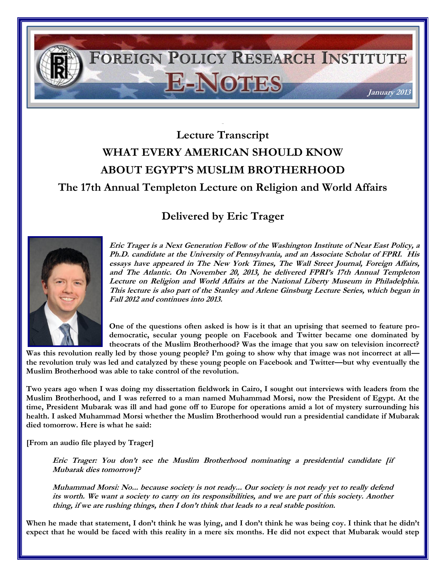

## **Lecture Transcript WHAT EVERY AMERICAN SHOULD KNOW ABOUT EGYPT'S MUSLIM BROTHERHOOD The 17th Annual Templeton Lecture on Religion and World Affairs**

## **Delivered by Eric Trager**



**Eric Trager is a Next Generation Fellow of the Washington Institute of Near East Policy, a Ph.D. candidate at the University of Pennsylvania, and an Associate Scholar of FPRI. His essays have appeared in The New York Times, The Wall Street Journal, Foreign Affairs, and The Atlantic. On November 20, 2013, he delivered FPRI's 17th Annual Templeton Lecture on Religion and World Affairs at the National Liberty Museum in Philadelphia. This lecture is also part of the Stanley and Arlene Ginsburg Lecture Series, which began in Fall 2012 and continues into 2013.** 

**One of the questions often asked is how is it that an uprising that seemed to feature prodemocratic, secular young people on Facebook and Twitter became one dominated by theocrats of the Muslim Brotherhood? Was the image that you saw on television incorrect?** 

Was this revolution really led by those young people? I'm going to show why that image was not incorrect at all**the revolution truly was led and catalyzed by these young people on Facebook and Twitter—but why eventually the Muslim Brotherhood was able to take control of the revolution.**

**Two years ago when I was doing my dissertation fieldwork in Cairo, I sought out interviews with leaders from the Muslim Brotherhood, and I was referred to a man named Muhammad Morsi, now the President of Egypt. At the time, President Mubarak was ill and had gone off to Europe for operations amid a lot of mystery surrounding his health. I asked Muhammad Morsi whether the Muslim Brotherhood would run a presidential candidate if Mubarak died tomorrow. Here is what he said:**

**[From an audio file played by Trager]**

**Eric Trager: You don't see the Muslim Brotherhood nominating a presidential candidate [if Mubarak dies tomorrow]?**

**Muhammad Morsi: No... because society is not ready... Our society is not ready yet to really defend its worth. We want a society to carry on its responsibilities, and we are part of this society. Another thing, if we are rushing things, then I don't think that leads to a real stable position.**

When he made that statement, I don't think he was lying, and I don't think he was being coy. I think that he didn't **expect that he would be faced with this reality in a mere six months. He did not expect that Mubarak would step**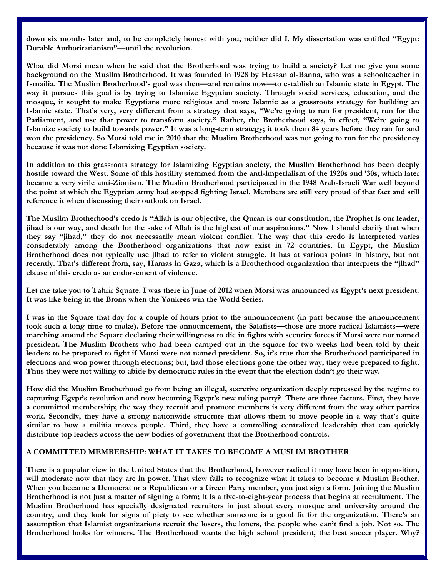down six months later and, to be completely honest with you, neither did I. My dissertation was entitled "Egypt: **Durable Authoritarianism"—until the revolution.**

**What did Morsi mean when he said that the Brotherhood was trying to build a society? Let me give you some background on the Muslim Brotherhood. It was founded in 1928 by Hassan al-Banna, who was a schoolteacher in Ismailia. The Muslim Brotherhood's goal was then—and remains now—to establish an Islamic state in Egypt. The way it pursues this goal is by trying to Islamize Egyptian society. Through social services, education, and the mosque, it sought to make Egyptians more religious and more Islamic as a grassroots strategy for building an Islamic state. That's very, very different from a strategy that says, "We're going to run for president, run for the Parliament, and use that power to transform society." Rather, the Brotherhood says, in effect, "We're going to Islamize society to build towards power." It was a long-term strategy; it took them 84 years before they ran for and won the presidency. So Morsi told me in 2010 that the Muslim Brotherhood was not going to run for the presidency because it was not done Islamizing Egyptian society.** 

**In addition to this grassroots strategy for Islamizing Egyptian society, the Muslim Brotherhood has been deeply hostile toward the West. Some of this hostility stemmed from the anti-imperialism of the 1920s and '30s, which later became a very virile anti-Zionism. The Muslim Brotherhood participated in the 1948 Arab-Israeli War well beyond the point at which the Egyptian army had stopped fighting Israel. Members are still very proud of that fact and still reference it when discussing their outlook on Israel.**

**The Muslim Brotherhood's credo is "Allah is our objective, the Quran is our constitution, the Prophet is our leader, jihad is our way, and death for the sake of Allah is the highest of our aspirations." Now I should clarify that when they say "jihad," they do not necessarily mean violent conflict. The way that this credo is interpreted varies considerably among the Brotherhood organizations that now exist in 72 countries. In Egypt, the Muslim Brotherhood does not typically use jihad to refer to violent struggle. It has at various points in history, but not recently. That's different from, say, Hamas in Gaza, which is a Brotherhood organization that interprets the "jihad" clause of this credo as an endorsement of violence.** 

Let me take you to Tahrir Square. I was there in June of 2012 when Morsi was announced as Egypt's next president. **It was like being in the Bronx when the Yankees win the World Series.** 

**I was in the Square that day for a couple of hours prior to the announcement (in part because the announcement took such a long time to make). Before the announcement, the Salafists—those are more radical Islamists—were marching around the Square declaring their willingness to die in fights with security forces if Morsi were not named president. The Muslim Brothers who had been camped out in the square for two weeks had been told by their leaders to be prepared to fight if Morsi were not named president. So, it's true that the Brotherhood participated in elections and won power through elections; but, had those elections gone the other way, they were prepared to fight. Thus they were not willing to abide by democratic rules in the event that the election didn't go their way.**

**How did the Muslim Brotherhood go from being an illegal, secretive organization deeply repressed by the regime to capturing Egypt's revolution and now becoming Egypt's new ruling party? There are three factors. First, they have a committed membership; the way they recruit and promote members is very different from the way other parties work. Secondly, they have a strong nationwide structure that allows them to move people in a way that's quite similar to how a militia moves people. Third, they have a controlling centralized leadership that can quickly distribute top leaders across the new bodies of government that the Brotherhood controls.** 

## **A COMMITTED MEMBERSHIP: WHAT IT TAKES TO BECOME A MUSLIM BROTHER**

**There is a popular view in the United States that the Brotherhood, however radical it may have been in opposition, will moderate now that they are in power. That view fails to recognize what it takes to become a Muslim Brother. When you became a Democrat or a Republican or a Green Party member, you just sign a form. Joining the Muslim Brotherhood is not just a matter of signing a form; it is a five-to-eight-year process that begins at recruitment. The Muslim Brotherhood has specially designated recruiters in just about every mosque and university around the country, and they look for signs of piety to see whether someone is a good fit for the organization. There's an assumption that Islamist organizations recruit the losers, the loners, the people who can't find a job. Not so. The Brotherhood looks for winners. The Brotherhood wants the high school president, the best soccer player. Why?**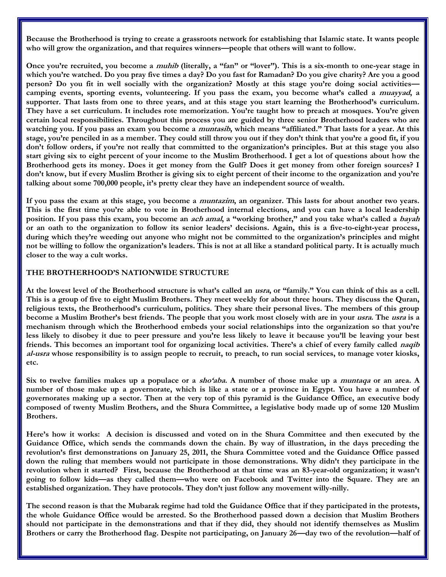**Because the Brotherhood is trying to create a grassroots network for establishing that Islamic state. It wants people who will grow the organization, and that requires winners—people that others will want to follow.** 

**Once you're recruited, you become a muhib (literally, a "fan" or "lover"). This is a six-month to one-year stage in which you're watched. Do you pray five times a day? Do you fast for Ramadan? Do you give charity? Are you a good person? Do you fit in well socially with the organization? Mostly at this stage you're doing social activities camping events, sporting events, volunteering. If you pass the exam, you become what's called a muayyad, a supporter. That lasts from one to three years, and at this stage you start learning the Brotherhood's curriculum. They have a set curriculum. It includes rote memorization. You're taught how to preach at mosques. You're given certain local responsibilities. Throughout this process you are guided by three senior Brotherhood leaders who are watching you. If you pass an exam you become a muntasib, which means "affiliated." That lasts for a year. At this stage, you're penciled in as a member. They could still throw you out if they don't think that you're a good fit, if you don't follow orders, if you're not really that committed to the organization's principles. But at this stage you also start giving six to eight percent of your income to the Muslim Brotherhood. I get a lot of questions about how the Brotherhood gets its money. Does it get money from the Gulf? Does it get money from other foreign sources? I don't know, but if every Muslim Brother is giving six to eight percent of their income to the organization and you're talking about some 700,000 people, it's pretty clear they have an independent source of wealth.** 

**If you pass the exam at this stage, you become a muntazim, an organizer. This lasts for about another two years.**  This is the first time you're able to vote in Brotherhood internal elections, and you can have a local leadership **position. If you pass this exam, you become an ach amal, a "working brother," and you take what's called a bayah or an oath to the organization to follow its senior leaders' decisions. Again, this is a five-to-eight-year process, during which they're weeding out anyone who might not be committed to the organization's principles and might not be willing to follow the organization's leaders. This is not at all like a standard political party. It is actually much closer to the way a cult works.** 

## **THE BROTHERHOOD'S NATIONWIDE STRUCTURE**

**At the lowest level of the Brotherhood structure is what's called an usra, or "family." You can think of this as a cell. This is a group of five to eight Muslim Brothers. They meet weekly for about three hours. They discuss the Quran, religious texts, the Brotherhood's curriculum, politics. They share their personal lives. The members of this group become a Muslim Brother's best friends. The people that you work most closely with are in your usra. The usra is a mechanism through which the Brotherhood embeds your social relationships into the organization so that you're less likely to disobey it due to peer pressure and you're less likely to leave it because you'll be leaving your best friends. This becomes an important tool for organizing local activities. There's a chief of every family called naqib al-usra whose responsibility is to assign people to recruit, to preach, to run social services, to manage voter kiosks, etc.** 

**Six to twelve families makes up a populace or a sho'aba. A number of those make up a muntaqa or an area. A number of those make up a governorate, which is like a state or a province in Egypt. You have a number of governorates making up a sector. Then at the very top of this pyramid is the Guidance Office, an executive body composed of twenty Muslim Brothers, and the Shura Committee, a legislative body made up of some 120 Muslim Brothers.** 

**Here's how it works: A decision is discussed and voted on in the Shura Committee and then executed by the Guidance Office, which sends the commands down the chain. By way of illustration, in the days preceding the revolution's first demonstrations on January 25, 2011, the Shura Committee voted and the Guidance Office passed down the ruling that members would not participate in those demonstrations. Why didn't they participate in the revolution when it started? First, because the Brotherhood at that time was an 83-year-old organization; it wasn't going to follow kids—as they called them—who were on Facebook and Twitter into the Square. They are an established organization. They have protocols. They don't just follow any movement willy-nilly.** 

**The second reason is that the Mubarak regime had told the Guidance Office that if they participated in the protests, the whole Guidance Office would be arrested. So the Brotherhood passed down a decision that Muslim Brothers should not participate in the demonstrations and that if they did, they should not identify themselves as Muslim Brothers or carry the Brotherhood flag. Despite not participating, on January 26—day two of the revolution—half of**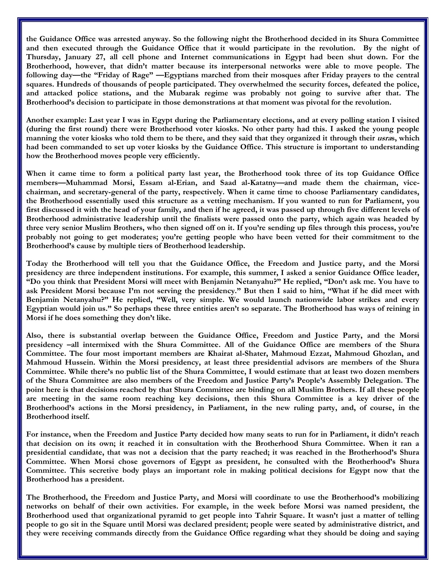**the Guidance Office was arrested anyway. So the following night the Brotherhood decided in its Shura Committee and then executed through the Guidance Office that it would participate in the revolution. By the night of Thursday, January 27, all cell phone and Internet communications in Egypt had been shut down. For the Brotherhood, however, that didn't matter because its interpersonal networks were able to move people. The following day—the "Friday of Rage" —Egyptians marched from their mosques after Friday prayers to the central squares. Hundreds of thousands of people participated. They overwhelmed the security forces, defeated the police, and attacked police stations, and the Mubarak regime was probably not going to survive after that. The Brotherhood's decision to participate in those demonstrations at that moment was pivotal for the revolution.**

**Another example: Last year I was in Egypt during the Parliamentary elections, and at every polling station I visited (during the first round) there were Brotherhood voter kiosks. No other party had this. I asked the young people manning the voter kiosks who told them to be there, and they said that they organized it through their usras, which had been commanded to set up voter kiosks by the Guidance Office. This structure is important to understanding how the Brotherhood moves people very efficiently.** 

**When it came time to form a political party last year, the Brotherhood took three of its top Guidance Office members—Muhammad Morsi, Essam al-Erian, and Saad al-Katatny—and made them the chairman, vicechairman, and secretary-general of the party, respectively. When it came time to choose Parliamentary candidates, the Brotherhood essentially used this structure as a vetting mechanism. If you wanted to run for Parliament, you first discussed it with the head of your family, and then if he agreed, it was passed up through five different levels of Brotherhood administrative leadership until the finalists were passed onto the party, which again was headed by three very senior Muslim Brothers, who then signed off on it. If you're sending up files through this process, you're probably not going to get moderates; you're getting people who have been vetted for their commitment to the Brotherhood's cause by multiple tiers of Brotherhood leadership.** 

**Today the Brotherhood will tell you that the Guidance Office, the Freedom and Justice party, and the Morsi presidency are three independent institutions. For example, this summer, I asked a senior Guidance Office leader, "Do you think that President Morsi will meet with Benjamin Netanyahu?" He replied, "Don't ask me. You have to ask President Morsi because I'm not serving the presidency." But then I said to him, "What if he did meet with Benjamin Netanyahu?" He replied, "Well, very simple. We would launch nationwide labor strikes and every Egyptian would join us." So perhaps these three entities aren't so separate. The Brotherhood has ways of reining in Morsi if he does something they don't like.** 

**Also, there is substantial overlap between the Guidance Office, Freedom and Justice Party, and the Morsi presidency –all intermixed with the Shura Committee. All of the Guidance Office are members of the Shura Committee. The four most important members are Khairat al-Shater, Mahmoud Ezzat, Mahmoud Ghozlan, and Mahmoud Hussein. Within the Morsi presidency, at least three presidential advisors are members of the Shura Committee. While there's no public list of the Shura Committee, I would estimate that at least two dozen members of the Shura Committee are also members of the Freedom and Justice Party's People's Assembly Delegation. The point here is that decisions reached by that Shura Committee are binding on all Muslim Brothers. If all these people are meeting in the same room reaching key decisions, then this Shura Committee is a key driver of the Brotherhood's actions in the Morsi presidency, in Parliament, in the new ruling party, and, of course, in the Brotherhood itself.** 

**For instance, when the Freedom and Justice Party decided how many seats to run for in Parliament, it didn't reach that decision on its own; it reached it in consultation with the Brotherhood Shura Committee. When it ran a presidential candidate, that was not a decision that the party reached; it was reached in the Brotherhood's Shura Committee. When Morsi chose governors of Egypt as president, he consulted with the Brotherhood's Shura Committee. This secretive body plays an important role in making political decisions for Egypt now that the Brotherhood has a president.** 

**The Brotherhood, the Freedom and Justice Party, and Morsi will coordinate to use the Brotherhood's mobilizing networks on behalf of their own activities. For example, in the week before Morsi was named president, the Brotherhood used that organizational pyramid to get people into Tahrir Square. It wasn't just a matter of telling people to go sit in the Square until Morsi was declared president; people were seated by administrative district, and they were receiving commands directly from the Guidance Office regarding what they should be doing and saying**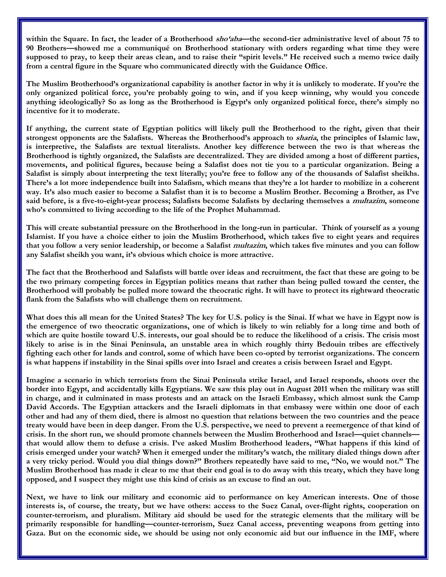**within the Square. In fact, the leader of a Brotherhood sho'aba—the second-tier administrative level of about 75 to 90 Brothers—showed me a communiqué on Brotherhood stationary with orders regarding what time they were supposed to pray, to keep their areas clean, and to raise their "spirit levels." He received such a memo twice daily from a central figure in the Square who communicated directly with the Guidance Office.** 

**The Muslim Brotherhood's organizational capability is another factor in why it is unlikely to moderate. If you're the only organized political force, you're probably going to win, and if you keep winning, why would you concede anything ideologically? So as long as the Brotherhood is Egypt's only organized political force, there's simply no incentive for it to moderate.** 

**If anything, the current state of Egyptian politics will likely pull the Brotherhood to the right, given that their strongest opponents are the Salafists. Whereas the Brotherhood's approach to sharia, the principles of Islamic law, is interpretive, the Salafists are textual literalists. Another key difference between the two is that whereas the Brotherhood is tightly organized, the Salafists are decentralized. They are divided among a host of different parties, movements, and political figures, because being a Salafist does not tie you to a particular organization. Being a Salafist is simply about interpreting the text literally; you're free to follow any of the thousands of Salafist sheikhs. There's a lot more independence built into Salafism, which means that they're a lot harder to mobilize in a coherent way. It's also much easier to become a Salafist than it is to become a Muslim Brother. Becoming a Brother, as I've said before, is a five-to-eight-year process; Salafists become Salafists by declaring themselves a multazim, someone who's committed to living according to the life of the Prophet Muhammad.** 

**This will create substantial pressure on the Brotherhood in the long-run in particular. Think of yourself as a young Islamist. If you have a choice either to join the Muslim Brotherhood, which takes five to eight years and requires that you follow a very senior leadership, or become a Salafist multazim, which takes five minutes and you can follow any Salafist sheikh you want, it's obvious which choice is more attractive.** 

**The fact that the Brotherhood and Salafists will battle over ideas and recruitment, the fact that these are going to be the two primary competing forces in Egyptian politics means that rather than being pulled toward the center, the Brotherhood will probably be pulled more toward the theocratic right. It will have to protect its rightward theocratic flank from the Salafists who will challenge them on recruitment.**

**What does this all mean for the United States? The key for U.S. policy is the Sinai. If what we have in Egypt now is the emergence of two theocratic organizations, one of which is likely to win reliably for a long time and both of which are quite hostile toward U.S. interests, our goal should be to reduce the likelihood of a crisis. The crisis most likely to arise is in the Sinai Peninsula, an unstable area in which roughly thirty Bedouin tribes are effectively fighting each other for lands and control, some of which have been co-opted by terrorist organizations. The concern is what happens if instability in the Sinai spills over into Israel and creates a crisis between Israel and Egypt.**

**Imagine a scenario in which terrorists from the Sinai Peninsula strike Israel, and Israel responds, shoots over the border into Egypt, and accidentally kills Egyptians. We saw this play out in August 2011 when the military was still in charge, and it culminated in mass protests and an attack on the Israeli Embassy, which almost sunk the Camp David Accords. The Egyptian attackers and the Israeli diplomats in that embassy were within one door of each other and had any of them died, there is almost no question that relations between the two countries and the peace treaty would have been in deep danger. From the U.S. perspective, we need to prevent a reemergence of that kind of crisis. In the short run, we should promote channels between the Muslim Brotherhood and Israel—quiet channels that would allow them to defuse a crisis. I've asked Muslim Brotherhood leaders, "What happens if this kind of crisis emerged under your watch? When it emerged under the military's watch, the military dialed things down after a very tricky period. Would you dial things down?" Brothers repeatedly have said to me, "No, we would not." The Muslim Brotherhood has made it clear to me that their end goal is to do away with this treaty, which they have long opposed, and I suspect they might use this kind of crisis as an excuse to find an out.** 

**Next, we have to link our military and economic aid to performance on key American interests. One of those interests is, of course, the treaty, but we have others: access to the Suez Canal, over-flight rights, cooperation on counter-terrorism, and pluralism. Military aid should be used for the strategic elements that the military will be primarily responsible for handling—counter-terrorism, Suez Canal access, preventing weapons from getting into Gaza. But on the economic side, we should be using not only economic aid but our influence in the IMF, where**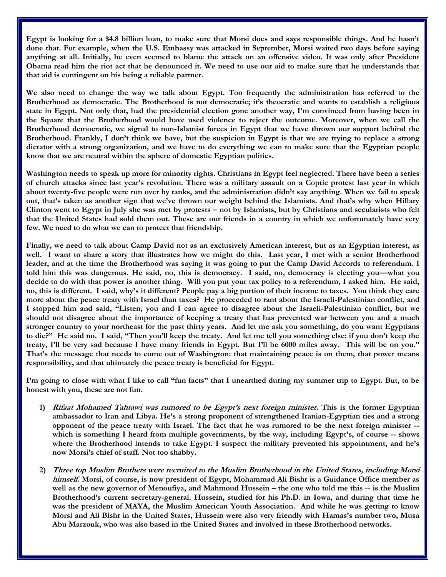**Egypt is looking for a \$4.8 billion loan, to make sure that Morsi does and says responsible things. And he hasn't done that. For example, when the U.S. Embassy was attacked in September, Morsi waited two days before saying anything at all. Initially, he even seemed to blame the attack on an offensive video. It was only after President Obama read him the riot act that he denounced it. We need to use our aid to make sure that he understands that that aid is contingent on his being a reliable partner.** 

**We also need to change the way we talk about Egypt. Too frequently the administration has referred to the Brotherhood as democratic. The Brotherhood is not democratic; it's theocratic and wants to establish a religious state in Egypt. Not only that, had the presidential election gone another way, I'm convinced from having been in the Square that the Brotherhood would have used violence to reject the outcome. Moreover, when we call the Brotherhood democratic, we signal to non-Islamist forces in Egypt that we have thrown our support behind the Brotherhood. Frankly, I don't think we have, but the suspicion in Egypt is that we are trying to replace a strong dictator with a strong organization, and we have to do everything we can to make sure that the Egyptian people know that we are neutral within the sphere of domestic Egyptian politics.** 

**Washington needs to speak up more for minority rights. Christians in Egypt feel neglected. There have been a series of church attacks since last year's revolution. There was a military assault on a Coptic protest last year in which about twenty-five people were run over by tanks, and the administration didn't say anything. When we fail to speak out, that's taken as another sign that we've thrown our weight behind the Islamists. And that's why when Hillary Clinton went to Egypt in July she was met by protests – not by Islamists, but by Christians and secularists who felt that the United States had sold them out. These are our friends in a country in which we unfortunately have very few. We need to do what we can to protect that friendship.**

**Finally, we need to talk about Camp David not as an exclusively American interest, but as an Egyptian interest, as well. I want to share a story that illustrates how we might do this. Last year, I met with a senior Brotherhood**  leader, and at the time the Brotherhood was saying it was going to put the Camp David Accords to referendum. I **told him this was dangerous. He said, no, this is democracy. I said, no, democracy is electing you—what you decide to do with that power is another thing. Will you put your tax policy to a referendum, I asked him. He said, no, this is different. I said, why's it different? People pay a big portion of their income to taxes. You think they care more about the peace treaty with Israel than taxes? He proceeded to rant about the Israeli-Palestinian conflict, and I stopped him and said, "Listen, you and I can agree to disagree about the Israeli-Palestinian conflict, but we should not disagree about the importance of keeping a treaty that has prevented war between you and a much stronger country to your northeast for the past thirty years. And let me ask you something, do you want Egyptians to die?" He said no. I said, "Then you'll keep the treaty. And let me tell you something else: if you don't keep the treaty, I'll be very sad because I have many friends in Egypt. But I'll be 6000 miles away. This will be on you." That's the message that needs to come out of Washington: that maintaining peace is on them, that power means responsibility, and that ultimately the peace treaty is beneficial for Egypt.** 

**I'm going to close with what I like to call "fun facts" that I unearthed during my summer trip to Egypt. But, to be honest with you, these are not fun.** 

- **1) Rifaat Mohamed Tahtawi was rumored to be Egypt's next foreign minister. This is the former Egyptian ambassador to Iran and Libya. He's a strong proponent of strengthened Iranian-Egyptian ties and a strong opponent of the peace treaty with Israel. The fact that he was rumored to be the next foreign minister - which is something I heard from multiple governments, by the way, including Egypt's, of course -- shows where the Brotherhood intends to take Egypt. I suspect the military prevented his appointment, and he's now Morsi's chief of staff. Not too shabby.**
- **2) Three top Muslim Brothers were recruited to the Muslim Brotherhood in the United States, including Morsi himself. Morsi, of course, is now president of Egypt, Mohammad Ali Bishr is a Guidance Office member as well as the new governor of Menoufiya, and Mahmoud Hussein – the one who told me this -- is the Muslim Brotherhood's current secretary-general. Hussein, studied for his Ph.D. in Iowa, and during that time he was the president of MAYA, the Muslim American Youth Association. And while he was getting to know Morsi and Ali Bishr in the United States, Hussein were also very friendly with Hamas's number two, Musa Abu Marzouk, who was also based in the United States and involved in these Brotherhood networks.**